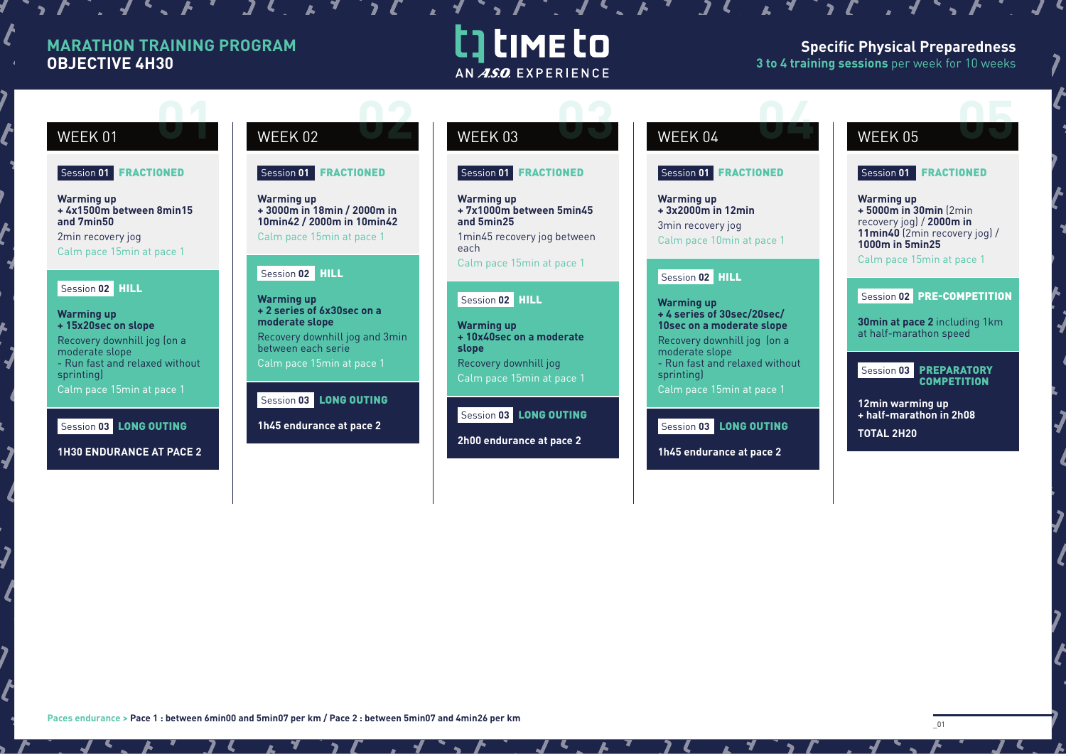### **MARATHON TRAINING PROGRAM OBJECTIVE 4H30**

 $\boldsymbol{\ell}$ 

# t] time to AN ASO EXPERIENCE

#### **Specific Physical Preparedness 3 to 4 training sessions** per week for 10 weeks

#### **02 0 02 03 02 03 02 03 02 03 02 03 02 04 05 05 05 05** WEEK 01 WEEK 02 WEEK 03 WEEK 04 WEEK 05 Session **01** FRACTIONED Session **01** FRACTIONED Session **01** FRACTIONED Session **01** FRACTIONED Session **01** FRACTIONED **Warming up Warming up Warming up Warming up Warming up + 4x1500m between 8min15 + 3000m in 18min / 2000m in + 7x1000m between 5min45 + 3x2000m in 12min + 5000m in 30min** (2min recovery jog) / **2000m in and 7min50 10min42 / 2000m in 10min42 and 5min25**  3min recovery jog **11min40** (2min recovery jog) / 2min recovery jog Calm pace 15min at pace 1 1min45 recovery jog between Calm pace 10min at pace 1 **1000m in 5min25** each Calm pace 15min at pace 1 Calm pace 15min at pace 1 Calm pace 15min at pace 1 Session **02** HILL Session **02** HILL Session **02** HILL Session **02** PRE-COMPETITION **Warming up** Session **02** HILL **Warming up + 2 series of 6x30sec on a Warming up + 4 series of 30sec/20sec/ moderate slope 30min at pace 2** including 1km **+ 15x20sec on slope Warming up 10sec on a moderate slope** at half-marathon speed **+ 10x40sec on a moderate**  Recovery downhill jog and 3min Recovery downhill jog (on a Recovery downhill jog (on a between each serie **slope** moderate slope moderate slope - Run fast and relaxed without Calm pace 15min at pace 1 Recovery downhill jog - Run fast and relaxed without Session **03** PREPARATORY sprinting) sprinting) Calm pace 15min at pace 1 **COMPETITION** Calm pace 15min at pace 1 Calm pace 15min at pace 1 Session 03 **LONG OUTING 12min warming up**  Session **03** LONG OUTING **+ half-marathon in 2h08**  Session **03** LONG OUTING **1h45 endurance at pace 2** Session **03** LONG OUTING **TOTAL 2H20 2h00 endurance at pace 2**  $\overline{\mathbf{z}}$ **1H30 ENDURANCE AT PACE 2 1h45 endurance at pace 2**